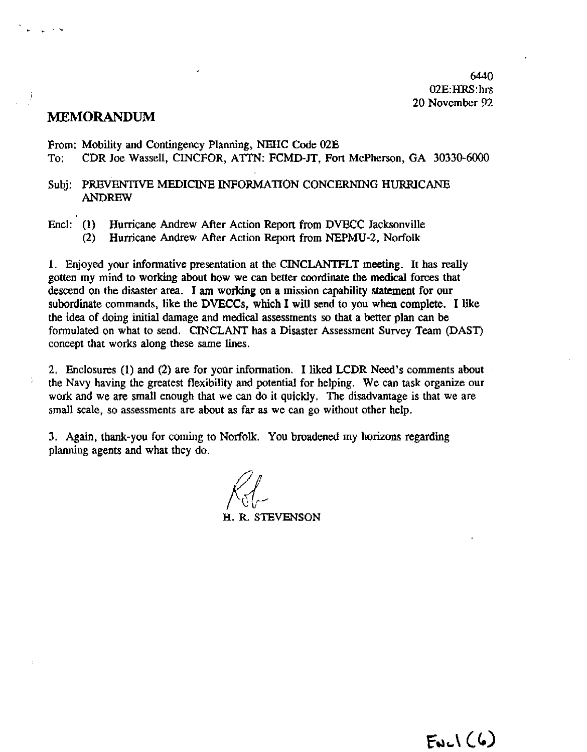**6440 02E:HRS:** hrs **20** November 92

# **MEMORANDUM**

**From:** Mobility and Contingency Planning, **NEHC** Code **02E** 

To: CDR Joe Wassell, **CINCFOR,** A'ITN: **FCMD-JT, Fort** McPherson, GA **30330-6000** 

- Subj: **PREVENTIVE** MEDICINE INFORMATION **CONCERNING** HURRICANE ANDREW
- End: (1) Humcane Andrew After Action Repon from **DVECC** Jacksonville
	- **(2)** Hurrjcane Andrew After Action Report from **NEPMU-2,** Norfolk

I. Enjoyed your informative presentation at the CINCLANTFLT meeting. It has really gotten my mind to working about how we can better coordinate the medical forces that descend on the disaster **area.** I am working on a mission capability statement for our subordinate commands, like the DVECCs, which I **will** send to you when complete. I like the idea of doing initial damage and medical assessments so that a better plan can be formulated on what to send. CINCLANT has a Disaster Assessment Survey Team (DAST) concept that works along these same lines.

2. Enclosures (1) and (2) are for yoor information. I liked LCDR Need's comments about the Navy having the greatest flexibility and potential for helping. We can task organize our work and we are small enough that we can do it quickly. The disadvantage is that we are small scale, so assessments are about as **far** as we can go without other help.

**3. Again,** thank-you for corning to Norfolk. You broadened my horizons regarding planning agents and what they do.

**H. R.** STEVENSON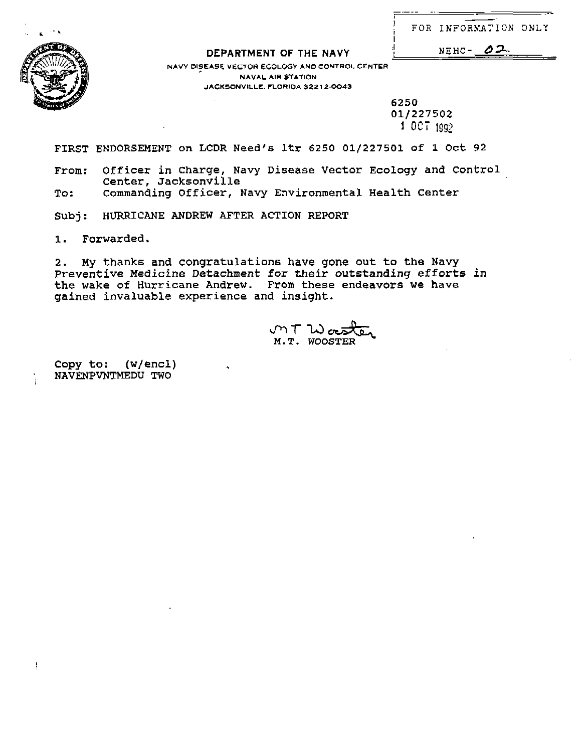|  | FOR INFORMATION ONLY |  |
|--|----------------------|--|

Ą

# :I **DEPARTMENT OF THE NAVY** I **NEHC- dz**

**NAVY DISEASB VECTOR ECOLOGY AND CONTROL CENTER NAVAL AIR STATION JACKSONVILLE. FLORIDA 32212-0043** 

> **6250 01/227502 <sup>1</sup>OCT** 1292

- .- . . . .

**FIRST ENDORSEMENT on LCDR Need's ltr 6250 01/227501 of 1 Oct 92** 

**From: Officer in charge, Navy Disease Vector Ecology and Control Center, Jacksonville** 

**To** : **commanding Officer, Navy Environmental Health Center** 

**Subj: HURRICANE ANDREW AFTER ACTION REPORT** 

**1. Forwarded.** 

**2. My thanks and congratuLations have gone out to the Navy Preventive Medicine Detachment for their outstanding efforts in the wake of Hurricane Andrew. From these endeavors we have gained invaluable experience and insight.** 

いてい。 **M. T. WOOSTER** 

**Copy to: (w/encl) NAVENPVNTMEDU TWO** i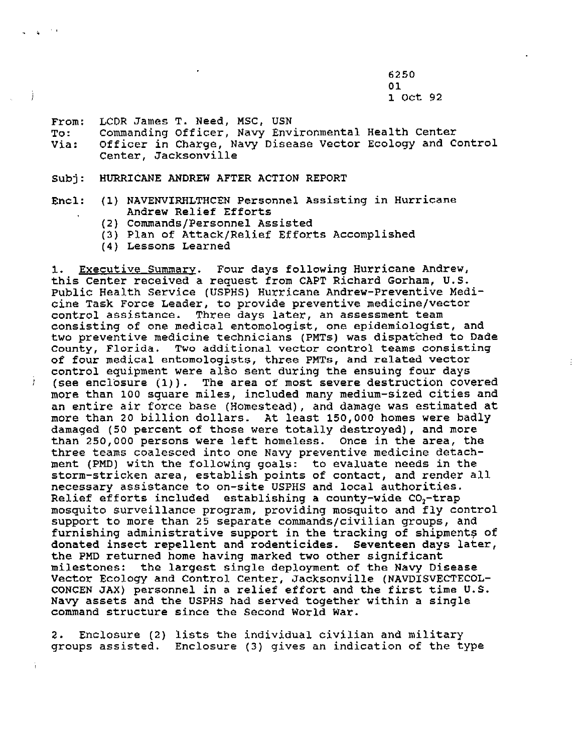6250 01  $1$  Oct 92

From: LCDR James T. Need, MSC, USN

 $\Delta \sim 10$ 

To: Commanding Officer, Navy Environmental Health Center Via: Officer in Charge, Navy Disease Vector Ecology and Control Center, Jacksonville

- Subj: HURRICANE ANDREW AFTER ACTION REPORT
- **EncL:** (1) NAVENVIRNLTNCEN Personnel Assisting in Hurricane Andrew Relief Efforts
	- (2) Commands/Personnel Assisted
	- (3) Plan of Attack/Relief Efforts Accomplished
	- (4) Lessons Learned

1. Executive Summary. Four days following Hurricane Andrew, this Center received a request from CAPT Richard Gorham, U.S. Public Health Service (USPHS) Hurricane Andrew-Preventive Medicine Task Force Leader, to provide preventive medicine/vector control assistance. Three days later, an assessment team consisting of one medical entomologist, one epidemiologist, and two preventive medicine technicians (PMTs) was dispatched to Dade County, Florida. Two additional vector control teams consisting of four medical entomoloqists, three **PMTs,** and related vector control equipment were a150 sent during the ensuing four days  $i$  (see enclosure (1)). The area of most severe destruction covered more than 100 square miles, included many medium-sized cities and an entire air force base (Homestead), and damage was estimated at more than 20 billion dollars. At least 150,000 homes were badly damaged (50 percent of those were totally destroyed), and more than 250,000 persons were left homeless. Once in the area, the three teams coalesced into one Navy preventive medicine detachment (PMD) with the following goals: to evaluate needs in the storm-stricken area, establish points of contact, and render all necessary assistance to on-site USPHS and local authorities. Relief efforts included establishing a county-wide CO,-trap mosquito surveillance program, providing mosquito and fly control support to more than 25 separate commands/civilian groups, and furnishing administrative support in the tracking of shipments **of**  donated insect repellent and rodenticides. Seventeen days later, the PMD returned home having marked two other significant milestones: the largest single deployment **of** the **Navy** Disease Vector Ecology and Control Center, Jacksonville (NAVDISVECTECOL-CONCEN JAX) personnel in a relief effort and the first time U.S. Navy assets and the USPHS had served together within a single command structure since the Second World War.

2. Enclosure (2) lists the individual civilian and military groups assisted. Enclosure (3) gives an indication of the type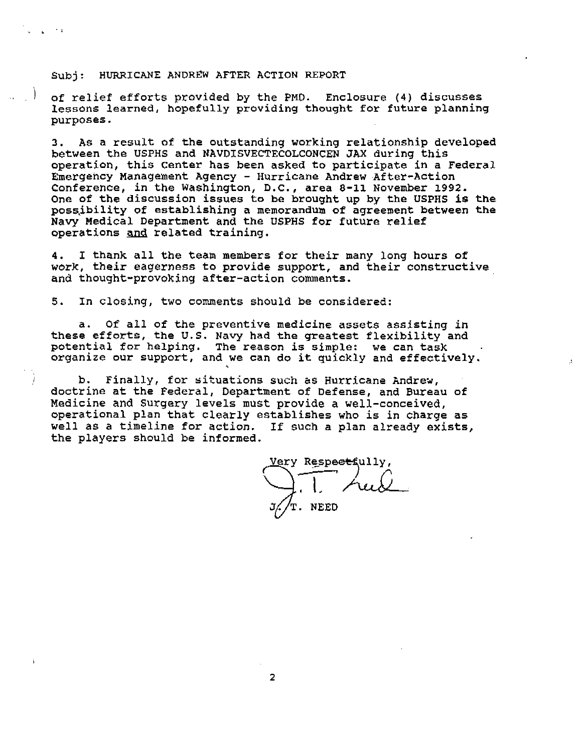Subj: HURRICANE ANDREW AFTER ACTION REPORT

) of relief efforts provided by the PMD. Enclosure (4) discusses lessons learned, hopefully providing thought for future planning purposes.

3. As a result of the outstanding working relationship developed between the **USPHS** and NAVDISVECTECOLCONCEN **JAX** during this operation, this Center has been asked to participate in a Federal Emergency Management Agency - Hurricane Andrew After-Action Conference, in the Washington, D.C., area 8-11 November 1992. One of the discussion issues to be brought up by the **USPHS** is the poss,ibility of establishing a memorandum of agreement between the **Navy** Medical Department and the **USPHS** for future relief possibility of establishing a mem<br>Navy Medical Department and the U<br>operations <u>and</u> related training.

4. I thank all the team members for their many long hours **of**  work, their eagerness to provide support, and their constructive and thought-provoking after-action comments.

**5.** In closing, two comments should be considered:

a. Of all of the preventive medicine assets assisting in these efforts, the **U.S.** Navy had **the** greatest flexibility and potential for helping. The reason is simple: we can task organize our support, and we can do **it** quickly and effectively.

I b. Finally, for situations such **as** Hurricane Andrev, doctrine at the Federal, Department of Defense, and Bureau of Medicine and Surgery levels must provide a well-conceived, operational plan that clearly establishes who is in charge as well as a timeline for action. If such a plan already exists, the players should be informed.

Zery Respe<del>ct</del>fully, . NEED

 $\overline{2}$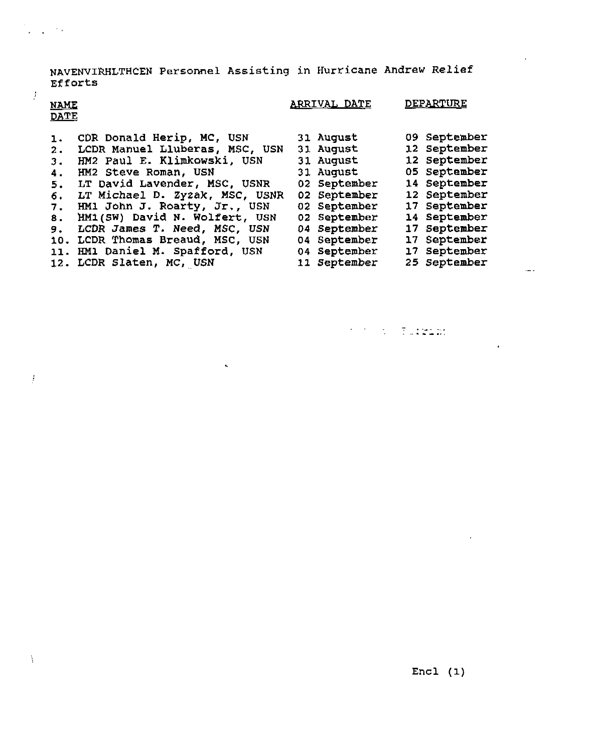**NAVENVIWLTBCEN Personnel Assisting in Hurricane Andrew Relief ~f f orts** 

| <b>NAME</b><br><b>DATE</b> |                                 |  | <u>ARRIVAL DATE</u> | <u>DEPARTURE</u> |
|----------------------------|---------------------------------|--|---------------------|------------------|
| 1.                         | CDR Donald Herip, MC, USN       |  | 31 August           | 09 September     |
| 2.                         | LCDR Manuel Lluberas, MSC, USN  |  | <b>31 August</b>    | 12 September     |
| з.                         | HM2 Paul E. Klimkowski, USN     |  | <b>31 August</b>    | 12 September     |
| 4.                         | HM2 Steve Roman, USN            |  | 31 August           | 05 September     |
| 5.                         | LT David Lavender, MSC, USNR    |  | 02 September        | 14 September     |
| 6.                         | LT Michael D. Zyzak, MSC, USNR  |  | 02 September        | 12 September     |
| 7.                         | HM1 John J. Roarty, Jr., USN    |  | 02 September        | 17 September     |
| 8.                         | HM1(SW) David N. Wolfert, USN   |  | 02 September        | 14 September     |
| 9.                         | LCDR James T. Need, MSC, USN    |  | 04 September        | 17 September     |
| 10.                        | LCDR Thomas Breaud, MSC, USN    |  | 04 September        | 17 September     |
|                            | 11. HM1 Daniel M. Spafford, USN |  | 04 September        | 17 September     |
|                            | 12. LCDR Slaten, MC, USN        |  | 11 September        | 25 September     |

 $\hat{\mathbf{q}}$ 

 $\mathcal{F}(\mathcal{F})$  , we have a function of  $\mathcal{F}$ 

 $\sim$  .

 $\ddot{\phantom{0}}$ 

 $\ddot{\phantom{a}}$ 

 $\frac{1}{2}$ 

 $\frac{1}{2} \left( \frac{1}{2} \right)$  ,  $\frac{1}{2} \left( \frac{1}{2} \right)$  ,  $\frac{1}{2} \left( \frac{1}{2} \right)$ 

 $\mathcal{I}$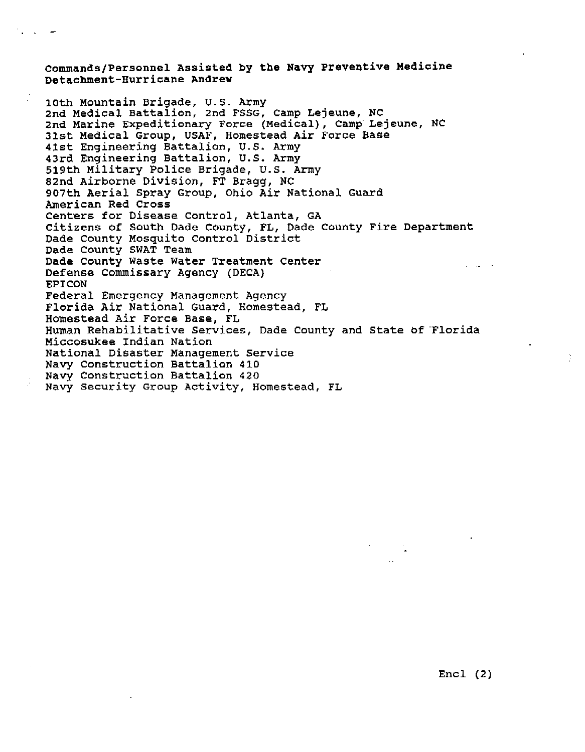# **Commands/Personnel Assisted by the Navy Preventive Medicine Detachment-Hurricane Andrew**

**10th Mountain Brigade, U.S. Army 2nd Medical Battalian, 2nd FSSG, Camp Lejeune, NC 2nd Marine Expeditionary Force (Medical), Camp Lejeune, NC 31st Medical Group, USAF, Homestead Air Force Base 41st Engineering Battalion, U.S. Army 43rd Engineering Battalion, U.S. Army 519th Military Police Brigade, U.S. Army 82nd Airborne Division, FT Bragg, NC 907th Aerial Spray Group, Ohio Air National Guard American Red Cross Centers for Disease Control, Atlanta, GA Citizens of South Dade County, FL, Dade County Fire Department Dade County Mosquito Control District Dade County SWAT Team Dade County Waste Water Treatment Center Defense Commissary Agency (DECA) EPICON Federal Emergency Management Agency Florida Air National Guard, Homestead, FL Homestead Air Force Base, FL Human Rehabilitative Services, Dade County and State bf Florida Miccosukee Indian Nation National Disaster Management Service Navy Construction Battalion 410 Navy Constraction Battalion 420 Navy Security Group Activity, Homestead, FL**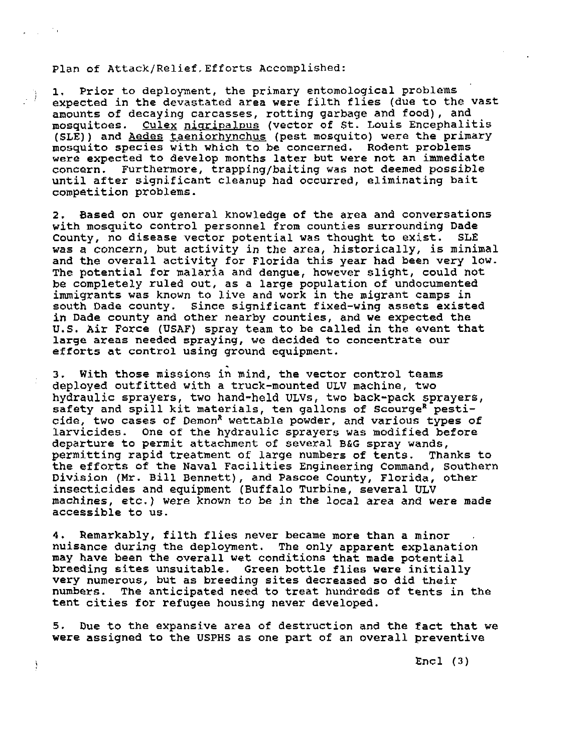### Plan of Attack/Relief,Efforts Accomplished:

 $\mathcal{L}_{\rm{max}}$  ,  $\mathcal{L}_{\rm{max}}$ 

 $\frac{1}{2}$ 

1. Prior to deployment, the primary entomological problems<br>expected in the devastated area were filth flies (due to the expected in the devastated area were filth flies (due to the vast amounts of decaying carcasses, rotting garbage and food), and mosquitoes. Culex nigripalpus (vector of St. Louis Encephalitis (SLE)) and Aedes taeniorhvnchus (pest mosquito) were the primary mosquito species with which to be concerned. Rodent problems were expected to develop months later but were not an immediate concern. Furthermore, trapping/baiting was not deemed possible until after significant cleanup had occurred, eliminating bait competition problems.

**2.** Based on our general knowledge of the area and conversations with mosquito control personnel from counties surrounding Dade County, no disease vector potential was thought to exist. **SLE**  was a concern, but activity in the area, historically, is minimal and the overall activity for Florida this year had been very low. The potential for malaria and dengue, however slight, could not be completely ruled out, as a large population of undocumented immigrants was known to live and work in the migrant camps in south Dade county. Since significant fixed-wing assets existed in Dade county and other nearby counties, and we expected the U.S. Air Force (USAF) spray team to be called in the event that large areas needed spraying, we decided to concentrate our efforts at control using ground equipment.

3. With those missions in mind, the vector control teams deployed outfitted with a truck-mounted **ULV** machine, two hydraulic sprayers, **two** hand-held **ULVs,** two back-pack sprayers, safety and spill kit materials, ten gallons of Scourge<sup>R</sup> pesticide, two cases of Demon<sup>R</sup> wettable powder, and various types of larvicides. One of the hydraulic sprayers was modified before departure to permit attachment of several B&G spray wands, permitting rapid treatment of large numbers of tents. Thanks to the efforts of the Naval Facilities Engineering Command, Southern Division (Mr. Bill Bennett), and PaSCOe County, Florida, other insecticides and equipment (Buffalo Turbine, several ULV machines, etc.) were known to be in the local area and were made accessible to us.

4. Remarkably, filth flies never became more than a minor ...<br>nuisance during the deployment. The only apparent explanation may have been the overall wet conditions that made potential breeding sites unsuitable. Green bottle flies were initially very numerous, but as breeding sites decreased so did their numbers. The anticipated need to treat hundreds of tents in the tent cities for refugee housing never developed.

**5.** Due to the expansive area of destruction and the fact that we were assigned to the USPHS as one part of an overall preventive

Encl (3)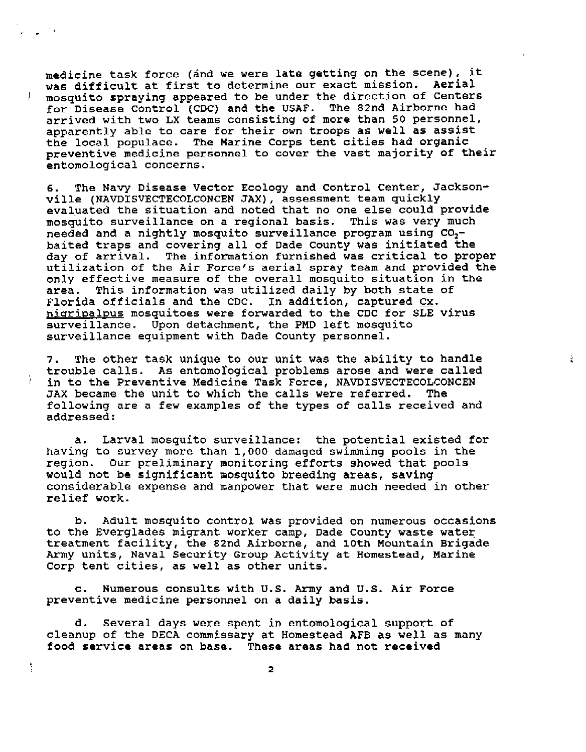medicine task force (and we were late getting on the scene), it was difficult at first to determine our exact mission. Aerial <sup>I</sup>mosquito spraying appeared to be under the direction of Centers for Disease control (CDC) and the USAF. The 82nd Airborne had arrived with two LX teams consisting of more than 50 personnel, apparently able to care for their own troops as well as assist the local populace. The Marine Corps tent cities had organic preventive medicine **personnel** to cover the vast majority of their entomological concerns.

6. The Navy Disease Vector Ecology and Control Center, Jacksonville (NAVDISVECTECOLCONCEN JAX), assessment team quickly evaluated the situation and noted that no one else could provide mosquito surveillance on a regional basis. This was very much needed and a nightly mosquito surveillance program using C0, baited traps and covering all of Dade County was initiated the day of arrival. The information furnished was critical to proper utilization Of the Air Force's aerial spray team and provided the only effective measure of the overall mosquito situation in the area. This information was utilized daily by both state of Florida officials and the CDC. In addition, captured **Cx.**  nigripalpus mosquitoes were forwarded to the CDC for SLE virus surveillance. Upon detachment, the PMD left mosquito surveillance equipment with Dade County personnel.

**7.** The other task unique to our unit was the ability to handle trouble calls. As entomological problems arose and were called : in to the Preventive Medicine Task Force, NAVDISVECTECOLCONCEN JAX became the unit to which the calls were referred. The following are a few examples of the types of calls received and addressed:

ž.

a. Larval mosquito surveillance: the potential existed for having to survey more than 1,000 damaged swimming pools in the region. Our preliminary monitoring efforts showed that pools would not be significant mosquito breeding areas, saving considerable expense and manpower that were much needed in other relief work.

**b.** Adult mosquito control was provided on numerous occasions to the Everglades miqrant worker camp, Dade County waste water treatment facility, the 82nd Airborne, and 10th Mountain Brigade Army units, Naval Security Group **Activity** at Homestead, Marine Corp tent cities, as well as other units.

c. Numerous consults with U.S. **Army** and U.S. Air Force preventive medicine personnel on a daily basis.

Â.

d. Several days were spent in entomological support of cleanup of the DECA commissary at Homestead AFB as well as many food service areas on base. These areas had not received

 $\mathbf{z}$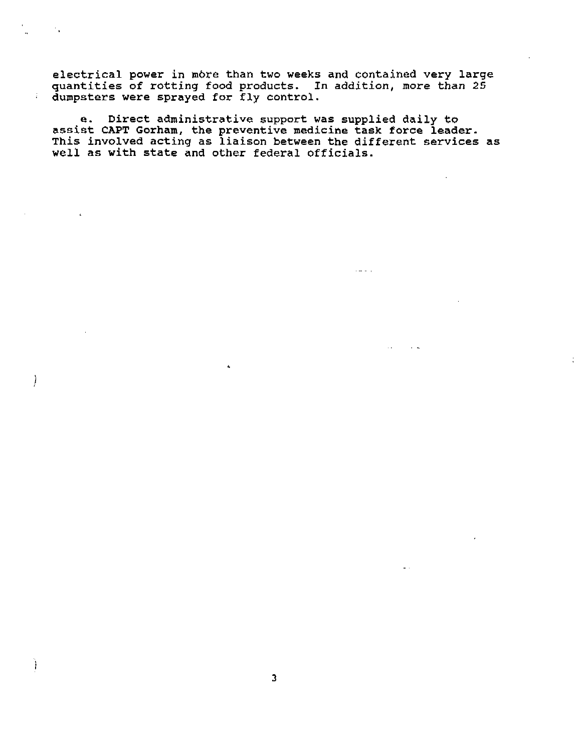**electrical power in mbre than two weeks and contained very large quantities of rotting food products. In addition, more than 25 dumpsters were sprayed for** fly **control.** 

 $\mathcal{F}_\mathbf{A}$ 

÷.

 $\left| \right\rangle$ 

Ï

**e. Direct administrative support was supplied daily to assist CAPT Gorharn, the preventive medicine task force leader. This involved acting as liaison between the different services as well as with state and other federal officials.** 

ż,

 $\sim 10^4$  km s  $^{-1}$ 

 $\sim$   $\sim$ 

 $\sim$   $\sim$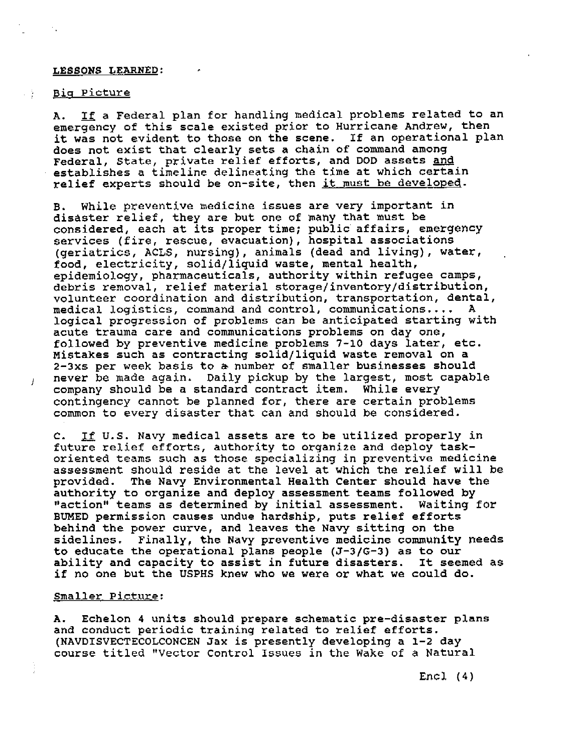#### **LESSONS LEARNED:**

#### <u>. Big Picture</u>

A. If a Federal plan for handling medical problems related to an emergency of this scale existed prior to Hurricane Andrew, then it was not evident to those on the scene. If an operational plan does not exist that clearly sets a chain of command among Federal, State, private relief efforts, and DOD assets and establishes a timeline delineating the time at which certain relief experts should be on-site, then it must be developed.

B. While preventive medicine issues are very important in disaster relief, they are but one of many that must be considered, each at its proper time; public' affairs, emergency services (fire, rescue, evacuation), hospital associations (geriatrics, ACLS, nursing), animals (dead and living), water, food, electricity, solid/liquid waste, mental health, epidemiology, pharmaceuticals, authority within refugee camps, debris removal, relief material **storage/inventory/distribution,**  volunteer coordination and distribution, transportation, dental, medical logistics, command and control, communications.... **A**  logical progression of problems can be anticipated starting with acute trauma care and communications problems on day one, followed by preventive medicine problems 7-10 days later, etc. Mistakes such as contracting solid/liquid waste removal on a 2-3xs per week basis to a number of smaller businesses should never be made again. Daily pickup by the largest, most capable company should be a standard contract item. While every contingency cannot be planned for, there are certain problems common to every disaster that can and should be considered.

C. If U.S. Navy medical assets are to be utilized properly in future relief efforts, authority to organize and deploy taskoriented teams such as those specializing in preventive medicine assessment should reside at the level at which the relief will be provided. The Navy Environmental Health Center should have the authority to organize and deploy assessment teams followed by "action" teams as determined by initial assessment. Waiting for BUMED permission causes undue hardship, puts relief efforts behind the power curve, and leaves the Navy sitting on the sidelines. Finally, the **Navy** preventive medicine community needs to educate the operational plans people **(J-3/G-3)** as to our ability and capacity to assist in future disasters. if no one but the USPHS knew who we were or what we could do.

## Smaller Picture:

**A.** Echelon **4** units should prepare schematic pre-disaster plans and conduct periodic training related to relief efforts. (NAVDISVECTECOLCONCEN Jax is presently developing a 1-2 day course titled "Vector Control Issues in the Wake of a Natural

Encl (4)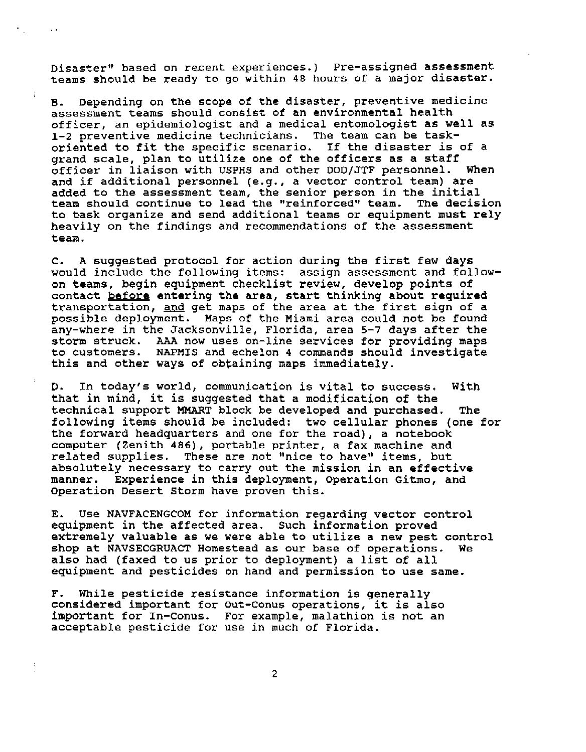Disaster" based on recent experiences.) Pre-assigned assessment teams should be ready to go within 48 hours of a major disaster.

**B.** Depending on the scope of the disaster, preventive medicine assessment teams should consist of an environmental health officer, an epidemiologist and a medical entomologist as well as **1-2** preventive medicine technicians. The team can be taskoriented to fit the specific scenario. If the disaster is of a grand scale, plan to utilize one of the officers as a staff<br>officer in liaison with USPHS and other DOD/JTF personnel. When officer in liaison with USPHS and other **DOD/YTF** personnel. When and if additional personnel (e.g., a vector control team) are added to the assessment team, the senior person in the initial<br>team should continue to lead the "reinforced" team. The decision team should continue to lead the "reinforced" team. to task organize and send additional teams or equipment must rely heavily on the findings and recommendations of the assessment team.

C. **A** suggested protocol for action during the first few days would include the following items: assign assessment and followon teams, begin equipment checklist review, develop points of on teams, begin equipment cnecklist review, develop points or<br>contact <u>before</u> entering the area, start thinking about required<br>transportation, <u>and</u> get maps of the area at the first sign of a<br>---------------------------possible deployment. Maps of the Miami area could not be found any-where in the Jacksonville, Florida, area 5-7 days after the storm struck. **AAA** now uses on-line services for providing maps NAPMIS and echelon 4 commands should investigate this and other **ways** of obtaining maps immediately.

D. In today's world, communication is vital to success. With that in mind, it is suggested that a modification of the technical support **NMART** block be developed and purchased. The following items should be included: two cellular phones (one for the forward headquarters and one for the road), a notebook computer (Zenith **486),** portable printer, a fax machine and related supplies. These are not "nice to have" items, but absolutely necessary to carry out the mission in an effective manner. Experience in this deployment, Operation Gitmo, and Operation Desert Storm have proven this.

E. Use **NAVFACENGCOM** for information regarding vector control equipment in the affected area. Such information proved extremely valuable as we were able to utilize a new pest control shop at NAVSECGRUACT Homestead as our base of operations. We also had (faxed to us prior to deployment) a list **of** all equipment and pesticides on hand and permission to use same.

F. While pesticide resistance information is generally considered important for Out-Conus operations, it is also important for in-Conus. For example, malathion **is** not an acceptable pesticide for use in much of Florida.

à,

 $\overline{2}$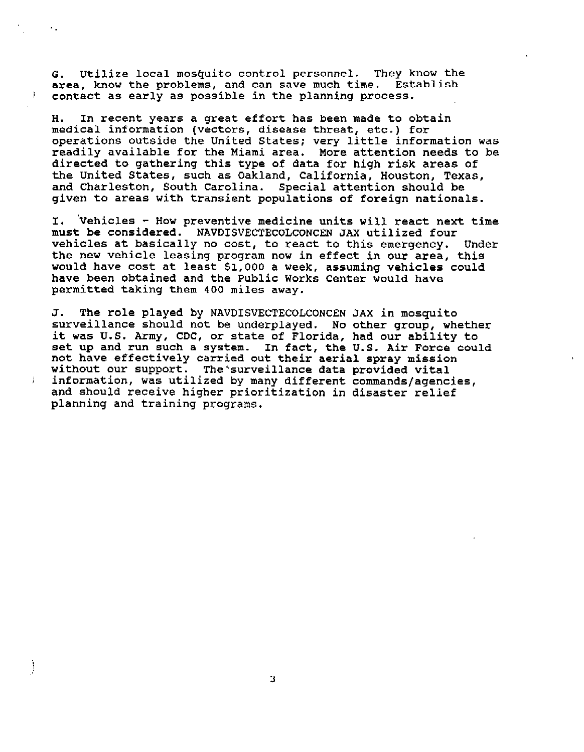**G. Utilize local mosquito control personnel. They know the area, know the problems, and can save much time. Establish contact as early as possible in the planning process.** 

٠.

 $\left| \right|$ 

Ì

**H. In recent years a great effort has been made to obtain medical information (vectors, disease threat, etc.) for operations outside the United States; very little information was readily available for the Miami area. More attention needs to be directed to gathering this type of data for high risk areas of the United States, such as Oakland, California, Houston, Texas, and Charleston, South Carolina. Special attention should be given to areas with transient populations of foreign nationals.** 

**I. 'vehicles** - **How preventive medicine units will react next time must be considered. NAVDISVECTECOLCONCEN JAX utilized four vehicles at basically no cost, to react to this emergency. Under the new vehicle leasing program now in effect in our area, this would have cost at least \$1,000 a week, assuming vehicles could have been obtained and the Public Works Center would have permitted taking them 400 miles away.** 

**J. The role played by NAVDISVECTECOLCONCEN SAX in mosquito surveillance should not be underplayed. No other group, whether it was U.S. Army, CDC, or state of Florida, had our ability to set up and run such a system. In fact, the U.S. Air Force could not have effectively carried out their aerial spray mission without our support. The'surveillance data provided vital information, was utilized by many different commands/agencies, and should receive higher prioritization in disaster relief planning and training programs.** 

3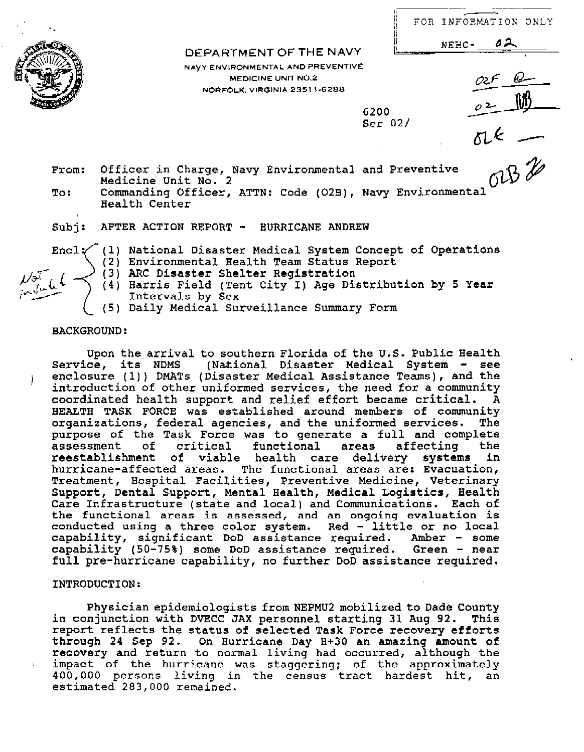| ı.<br>li<br>!i<br>. . | FOR INFORMATION ONLY |  |
|-----------------------|----------------------|--|

|                        |  | FOR INFORMATION |      |
|------------------------|--|-----------------|------|
| DEPARTMENT OF THE NAVY |  | $NEBC -$        | -62. |
|                        |  |                 |      |

**NAVY** ENVIRONMENTAL AND PREVENTIVE MEDICINE UNIT **N0.2**  NORFOLK. VIRGINIA 2351 **1-6288** 

**6200**  Ser **02/** 

From: Officer in Charge, Navy Environmental and Preventive Medicine' Unit No. 2

To: Commanding Officer, ATTN: Code (O2B), Navy Environmental Health Center

Subj: AFTER ACTION REPORT - HURRICANE ANDREW

Encl $\checkmark$  (1) National Disaster Medical System Concept of Operations (2) Environmental Health Team Status Report

- (3) ARC Disaster Shelter Registration
- (4) Harris Field (Tent City I) Age Distribution by 5 Year Intervals by Sex

(5) Daily Medical Surveillance Summary Form

# BACKGROUND:

upon the arrival to southern Florida of the U.S. Public Health Service, its NDMS (National Disaster Medical System - see i enclosure (1)) DMATs (Disaster Medical Assistance Teams), and the introduction of other uniformed services, the need for a community coordinated health support and relief effort became critical. **A**  HEALTH TASK FORCE was established around members of community organizations, federal agencies, and the uniformed services. The purpose of the Task Force was to generate a full and complete<br>assessment of critical functional areas affecting the assessment of critical functional areas affecting the<br>reestablishment of viable health care delivery systems in of viable health care delivery systems hurricane-affected areas. The functional areas are: Evacuation, Treatment, Hospital Facilities, Preventive Medicine, Veterinary Support, Dental Support, Mental Health, Medical Logistics, Health Care Infrastructure (state and local) and Communications. Each of the functional areas is **assessed, and an ongoing** evaluation is conducted using a three color system. Red - little or no local capability, significant DoD assistance required. Amber - some capability (50-75%) some DoD assistance required. Green - near full pre-hurricane capability, no further DoD assistance required.

# INTRODUCTION:

Physician epidemiologists from NEPMU2 mobilized to Dade County in conjunction with DVECC JAX personnel starting 31 **Aug** 92. This report reflects the status of selected Task Force recovery efforts through 24 Sep 92. On Hurricane Day **H+30** an amazing amount of recovery and return to normal living had occurred, although the impact of the hurricane was staggering; of the approximately **400,000** persons living **in** the census tract hardest hit, an estimated **283,000** remained.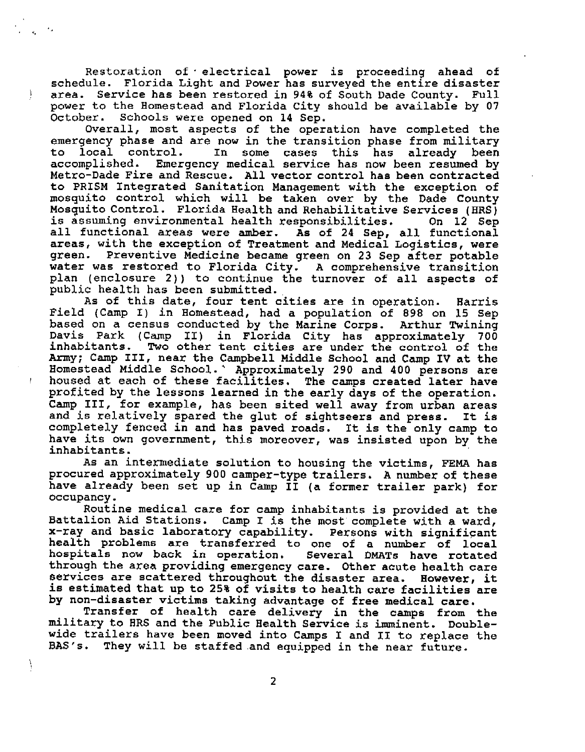Restoration of electrical power is proceeding ahead of schedule. Florida Light and Power has surveyed the entire disaster area. Service has been restored in 94% of South Dade County. Full power to the Homestead and Florida City should be available by 07<br>October. Schools were opened on 14 Sep. Schools were opened on 14 Sep.

Overall, most aspects of the operation have completed the emergency phase and are now in the transition phase from military<br>to local control. In some cases this has already been to local control. In some cases this has already been<br>accomplished. Emergency-medical-service-has-now-been-resumed-by-Emergency medical service has now been resumed by Metro-Dade Fire and Rescue. All vector control has been contracted to PRISM Integrated Sanitation Management with the exception of mosquito control which will be taken over by the Dade County Mosquito Control. Florida Health and Rehabilitative Services (HRS) is assuming environmental health responsibilities. On 12 Sep all functional areas were amber. As of 24 Sep, all functional areas, with the exception of Treatment and Medical Logistics, were green. Preventive Medicine became green on 23 Sep after potable water was restored to Florida City. A comprehensive transition plan (enclosure **2))** to continue the turnover of all aspects of public health has been submitted.

As of this date, four tent cities are in operation. Harris Field (Camp I) in Homestead, had a population of 898 on 15 Sep based on a census conducted by the Marine Corps. Arthur Twining Davis Park (Camp 11) in Florida City has approximately 700 inhabitants, Two other tent cities are under the control of the **Army;** Camp 111, near the Campbell Middle School. and Camp IV at the Homestead Middle School.' Approximately **290** and 400 persons are housed at each of these facilities. The camps created later have profited by the lessons learned in the early days of the operation. Camp 111, for example, has been sited well away from urban areas and is relatively spared the glut of sightseers and press. It is completely fenced in and has paved roads. It is the only camp to have its own government, this moreover, was insisted upon by the inhabitants.

As an intermediate solution to housing the victims, FEMA has procured approximately 900 camper-type trailers. A number of these have already been set up in Camp II (a former trailer park) for occupancy.

Routine medical care for camp inhabitants is provided at the Battalion Aid Stations. Camp I is the most complete with a ward, x-ray and basic laboratory capability. Persons with significant health problems are transferred to one of a number **of** local hospitals now back in operation. through the area providing emergency care. Other acute health care services are scattered throughout the disaster area. However, it is estimated that up to 25% of visits to health care facilities are by non-disaster victims taking advantage of free medical care.

Transfer of health care delivery in the **camps** from the military to HRS and the Public Health Service **is** imminent. Doublewide trailers have been moved into Camps 1 and **I1** to replace the BAS'S. They will be staffed and equipped in the near future.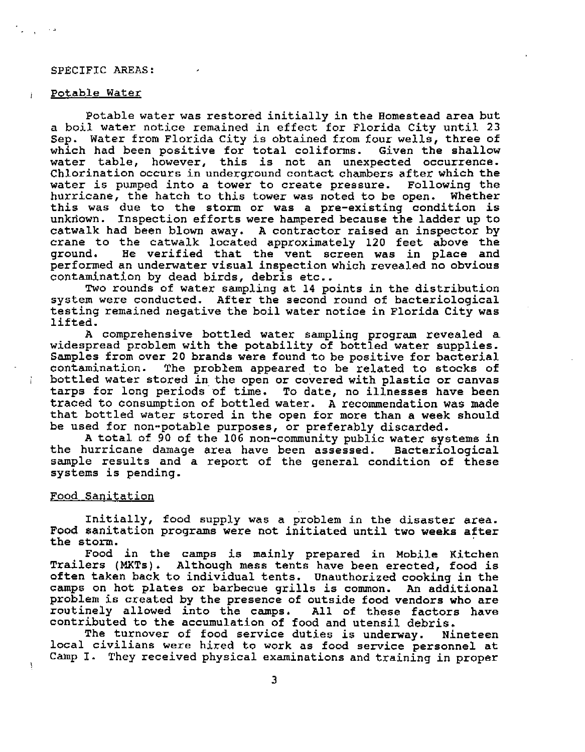### **SPECIFIC AREAS:**

#### potable Water

Potable water was restored initially in the Homestead area but a boil water notice remained in effect for Florida City until 23 Sep. Water from Florida City is obtained from four wells, three of which had been positive for total coliforms. Given the shallow water table, however, this is not an unexpected occurrence. Chlorination occurs in underground contact chambers after which the water is pumped into a tower to create pressure. Following the hurricane, the hatch to this tower was noted to be open. Whether this was due to the storm or was a pre-existing condition is unkriown. Inspection efforts were hampered because the ladder up to catwalk had been blown away. **A** contractor raised an inspector by crane to the catwalk located approximately 120 feet above the ground. He verified that the vent screen was in place and performed an underwater visual inspection which revealed no obvious contamination by dead birds, debris etc..

Two rounds of water sampling at 14 points in the distribution system were conducted. After the second round **of** bacteriological testing remained negative the boil water notice in Florida City was lifted.

A comprehensive bottled water sampling program revealed a widespread problem with the potability of bottled water supplies. Samples from over 20 brands were found to be positive for bacterial contamination. The problem appeared to be related to stocks of bottled water stored in the open or covered with plastic or canvas tarps for long periods of time. To date, no illnesses have been traced to consumption of bottled water. **A** recommendation **was** made that bottled water stored in the open for more than a week should be used for non-potable purposes, or preferably discarded.

A total of 90 of the 106 non-community public water systems in the hurricane damage area have been assessed. Bacteriological sample results and a report of the general condition of these systems is pending.

#### Food Sanitation

Initially, food supply was a problem in the disaster area. Food sanitation programs were not initiated until two weeks after the storm.

Food in the camps is mainly prepared in Mobile Kitchen Trailers (MXTs). Although mess tents have been erected, food is often taken back to individual tents. Unauthorized cooking in the camps on hot plates or barbecue grills is common. An additional problem is created by the presence of outside food vendors who are routinely allowed into the camps. All of these factors have contributed to the accumulation of food and utensil debris.

The turnover of food service duties is underway. Nineteen local civilians were hired to work as food service personnel at Camp I. They received physical examinations and training in proper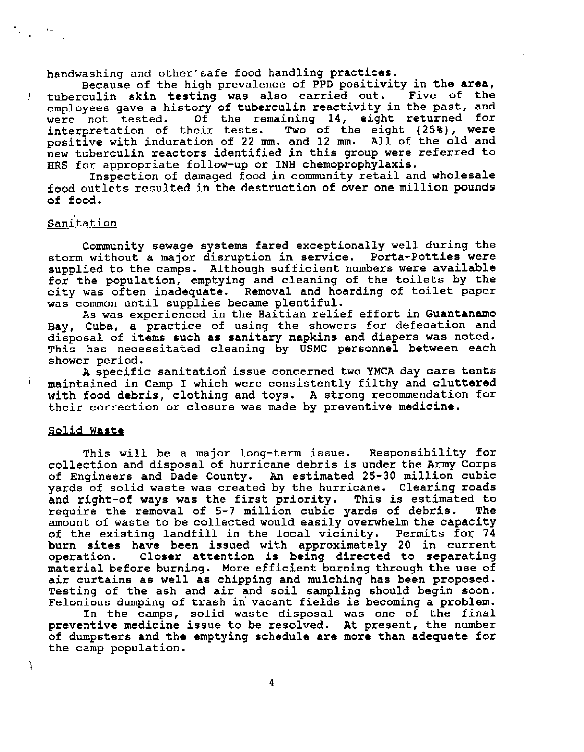handwashing and other safe food handling practices.

Because of the high prevalence of PPD positivity in the area,<br>culin skin testing was also carried out. Five of the tuberculin skin testing was also carried out. employees gave a history of tuberculin reactivity in the past, and<br>were not tested. Of the remaining 14, eight returned for Of the remaining 14, eight returned for interpretation of their tests. Two of the eight **(25%),** were positive with induration of 22 **mm.** and 12 **mm.** All of the old and new tuberculin reactors identified in this group were referred to HRS for appropriate follow-up or **INB** chemoprophylaxis.

Inspection of damaged food in community retail and wholesale food outlets resulted in the destruction of over one million pounds **of** food .

# **Sanitation**

 $\pmb{\rceil}$ 

Community sewage systems fared exceptionally well during the storm without a major disruption in service. Porta-Potties were supplied to the camps. Although sufficient **numbers** were available for the population, emptying and cleaning of the toilets **by** the city was often inadequate. Removal and hoarding of toilet paper was common until supplies became plentiful.

**As** was experienced in the Haitian relief effort in Guantanamo Bay, Cuba, a practice of using the showers for defecation and disposal of items such as sanitary napkins and diapers was noted. This has necessitated cleaning by USMC personnel between each shower period.

**A** specific sanitatiori issue concerned two YMCA day care tents maintained in Camp I which were consistently filthy and cluttered with food debris, clothing and toys. **A** strong recommendation for their correction or closure was made by preventive medicine.

#### Solid Waste

Ĩ.

This will be a major long-term issue. Responsibility for collection and disposal of hurricane debris is under the Army Corps of Engineers and Dade County. An estimated 25-30 million cubic **yards** of solid waste was created by the hurricane. Clearing roads and right-of ways was the first priority. This is estimated to<br>require the removal of 5-7 million cubic vards of debris. The require the removal of 5-7 million cubic yards of debris. amount of waste to be collected would easily overwhelm the capacity of the existing landfill in the local vicinity. Permits foy 74 burn sites have been issued with approximately 20 in current operation. Closer attention is being directed to separating material before burning. More efficient burning through the use of air curtains as well as chipping and mulching has been proposed. Testing of the ash and air and soil sampling should begin soon. Felonious dumping of trash in vacant fields is becoming a problem.

In the camps, solid waste disposal was one of the final preventive medicine issue to be resolved. At present, the number of dumpsters and the emptying schedule are more than adequate for the camp population.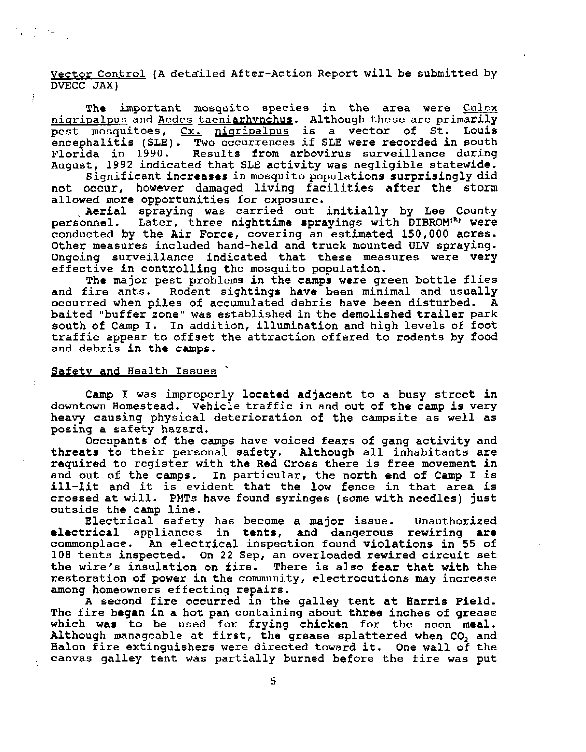Vector Control **(A** detailed After-Action Report will be submitted by DVECC JAX)

The important mosquito species in the area were **Culex**  niqripalpus and Aedes taeniarhvnchus. Although these are primarily pest mosquitoes,  $Cx$ . nigripalpus is a vector of  $S_t$ . Louis encephalitis (SLE). Two occurrences if **SLE** were recorded in south Results from arbovirus surveillance during August, 1992 indicated that SLE activity was negligible statewide.

Significant increases in mosquito populations surprisingly did not occur, however damaged living facilities after the storm allowed more opportunities for exposure.

Aerial spraying was carried out initially by Lee County personnel. Later, three nighttime sprayings with DIBROM<sup>(R)</sup> were conducted by the Air Force, covering an estimated 150,000 acres. Other measures included hand-held and truck mounted ULV spraying. Ongoing surveillance indicated that these measures were very effective in controlling the mosquito population.

The major pest problems in the camps were green bottle flies and fire ants. Rodent sightings have been minimal and usually occurred when piles of accumulated debris have been disturbed. A baited "buffer zone" was established in the demolished trailer park south of Camp I. In addition, illumination and high levels of foot traffic appear to offset the attraction offered to rodents by food and debris in the camps.

#### Safetv and Health Issues '

 $\mathbb{R}^3$ 

Camp I was improperly located adjacent to a busy street in downtown Homestead. Vehicle traffic in and out of the camp is very heavy causing physical deterioration of the campsite as well as posing a safety hazard.

Occupants **of** the camps have voiced fears of gang activity and threats to their personal safety. Although all inhabitants are required to register with the Red Cross there is free movement in and out of the camps. In particular, the north end of Camp I is ill-lit and it is evident that the low fence in that area is crossed at will. PMTs have found syringes (some with needles) just outside the camp line.

Electrical safety has become a major issue. Unauthorized electrical appliances in tents, and dangerous rewiring .are commonplace. An electrical inspection found violations in **55** of 108 tents inspected. On 22 Sep, an overloaded rewired circuit set the wire's insulation on fire. There is also fear that with the restoration of power in the community, electrocutions may increase among homeowners effecting repairs.

**A** second fire occurred in the galley tent at Harris Field. The fire began in a hot pan containing about three inches of grease which was to be used for frying chicken for the noon meal. Although manageable at first, the grease splattered when CO, and Balon fire extinguishers were directed toward it. One wall **of** the canvas galley tent was partially burned before the fire was put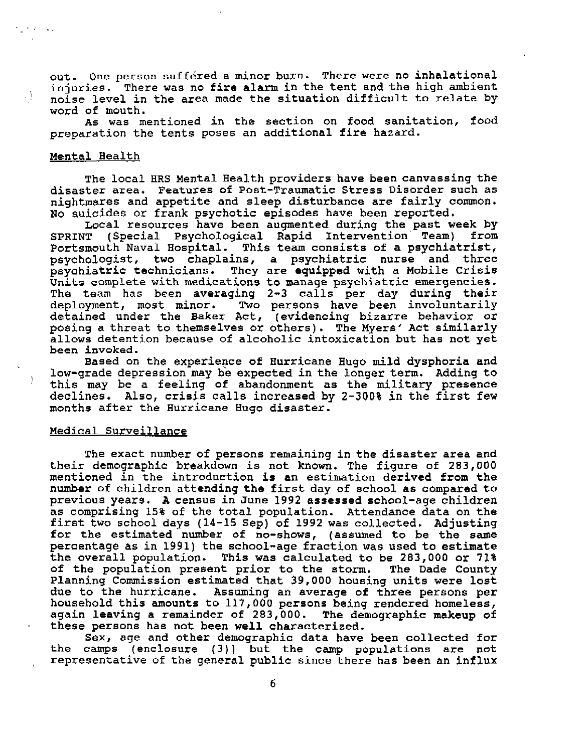out. One person suffered a minor burn. There were no inhalational injuries. There was no fire alarm in the tent and the high ambient noise level in the area made the situation difficult to relate by word of mouth.

As was mentioned in the section on food sanitation, food preparation the tents poses an additional fire hazard.

## Mental Health

 $\sim 10^{11}$  and  $\sim 10^{11}$ 

тÌ.

The local HRS Mental Health providers have been canvassing the disaster area. Features of Post-Traumatic Stress Disorder such as nightmares and appetite and sleep disturbance are fairly common. No suicides or frank psychotic episodes have been reported.

Local resources have been augmented during the past week by<br>SPRINT (Special Psychological Rapid Intervention Team) from (Special Psychological Rapid Intervention Team) Portsmouth Naval Hospital. This team consists of a psychiatrist, psychologist, two chaplains, a psychiatric nurse and three psychiatric technicians. They are equipped with a Mobile Crisis Units complete with medications to manage psychiatric emergencies. The team has been averaging 2-3 calls per day during their<br>deployment, most minor. Two persons have been involuntarily Two persons have been involuntarily detained under the Baker Act, (evidencing bizarre behavior or posing a threat to themselves or others). The Myers' Act similarly allows detention because of alcoholic intoxication but has not yet been invoked.

Based on the experience of Hurricane Hugo mild dysphoria and low-grade depression may be expected in the longer term. Adding to this may be a feeling of abandonment as the military presence declines. Also, crisis calls increased by 2-300% in the first few months after the Hurricane Hugo disaster.

## Medical Surveillance

The exact number of persons remaining in the disaster area and their demographic breakdown is not known. The figure of 283,000 mentioned in the introduction is an estimation derived from the number of children attending the first day of school as compared to previous years. A census in June 1992 assessed school-age children as comprising 15% of the total population. Attendance data on the first two school days (14-15 **Sep)** of 1992 was collected. Adjusting for the estimated number of no-shows, (assumed to be the same percentage as in 1991) the school-age fraction was used to estimate the overall population. This was calculated to be 283,000 or 71%<br>of the population present prior to the storm. The Dade County of the population present prior to the storm. Planning Commission estimated that 39,000 housing units were lost due to the hurricane. Assuming an average of three persons per household this amounts to 117,000 persons being rendered homeless, again leaving a remainder of 283,000. The demographic makeup of these persons has not been well characterized.

Sex, age and other demographic data have been collected for the camps (enclosure (3)) but the camp populations are not representative of the general public since there has been an influx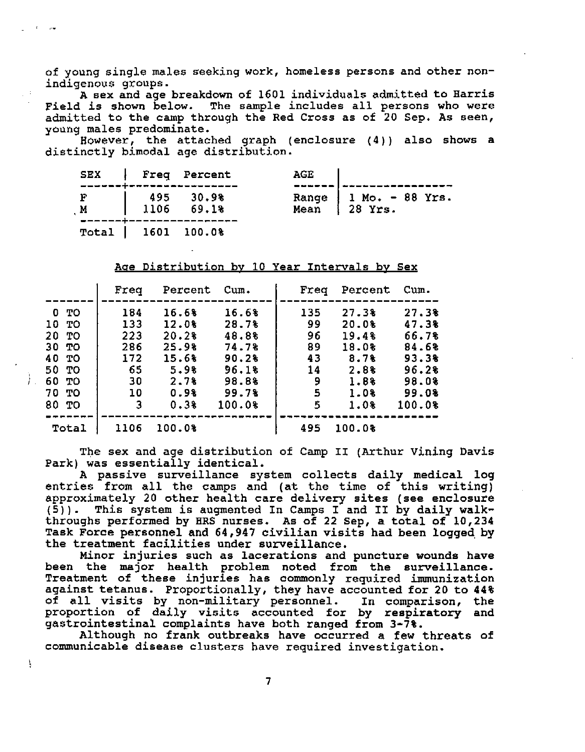**of young single males seeking work, homeless persons and other nonindigenous groups.** 

**A sex and age breakdown of 1601 individuals admitted to Harris Field is shown below. The sample includes all persons who were admitted to the camp through the Red Cross as of 20 Sep. As seen, young males predominate.** 

**However, the attached graph (enclosure (4)) also shows a distinctly bimodal age distribution.** 

|                                                                             | SEX   Freq Percent | AGE |                                                             |
|-----------------------------------------------------------------------------|--------------------|-----|-------------------------------------------------------------|
| $\begin{array}{c cc}\nF & 495 & 30.9\% \\ M & 1106 & 69.1\% \\ \end{array}$ |                    |     | Range   $1 \text{ Mo.} - 88 \text{ Yrs.}$<br>Mean   28 Yrs. |
| Total   1601 100.0%                                                         |                    |     |                                                             |

**Acre Distribution bv 10 Year Intervals bv Sex** 

|                                                                              | Freq                                                   | Percent                                                                   | Cum.                                                                           | Freq                                             | Percent                                                                              | Cum.                                                                           |
|------------------------------------------------------------------------------|--------------------------------------------------------|---------------------------------------------------------------------------|--------------------------------------------------------------------------------|--------------------------------------------------|--------------------------------------------------------------------------------------|--------------------------------------------------------------------------------|
| 0 TO<br>10 TO<br>20 TO<br>30 TO<br>40 TO<br>50 TO<br>60 TO<br>70 TO<br>80 TO | 184<br>133<br>223<br>286<br>172<br>65<br>30<br>10<br>3 | 16.6%<br>12.0%<br>20.28<br>25.9%<br>15.6%<br>5.9%<br>2.7%<br>0.9%<br>0.38 | 16.6%<br>28.7%<br>48.8%<br>74.7%<br>90.2%<br>96.18<br>98.8%<br>99.7%<br>100.0% | 135<br>99<br>96<br>89<br>43<br>14<br>9<br>5<br>5 | 27.38<br>20.0%<br>19.4%<br>18.0%<br>8.7 <sub>8</sub><br>2.8%<br>1.8%<br>1.0%<br>1.0% | 27.3%<br>47.38<br>66.78<br>84.6%<br>93.3%<br>96.28<br>98.08<br>99.08<br>100.0% |
| Total                                                                        | 1106                                                   | 100.0%                                                                    |                                                                                | 495                                              | 100.0%                                                                               |                                                                                |

**The sex and age distribution of Camp II (Arthur Vining Davis Park) was essentially identical.** 

**.A passive survkllance system collects daily medical log entries from all the camps and (at the time of this writing) approximately 20 other health care delivery sites (see enclosure (5)). This system is augmented In Carnps I and I1 by daily walkthroughs performed by HRS nurses. As of 22 Sep, a total of 10,234 Task Force personnel and 64,947 civilian visits had been logged by the treatment facilities under surveillance.** 

**Minor injuries such as lacerations and puncture wounds have been the major health problem noted from the surveillance. Treatment of these injuries has commonly required immunization against tetanus. Proportionally, they have accounted for 20 to 44% of all visits by non-military personnel. In comparison, the proportion of daily visits accounted for by respiratory and gastrointestinal complaints have both ranged from 3-7%.** 

**Although no frank outbreaks have occurred a few threats of communicable disease clusters have required investigation.** 

**7** 

!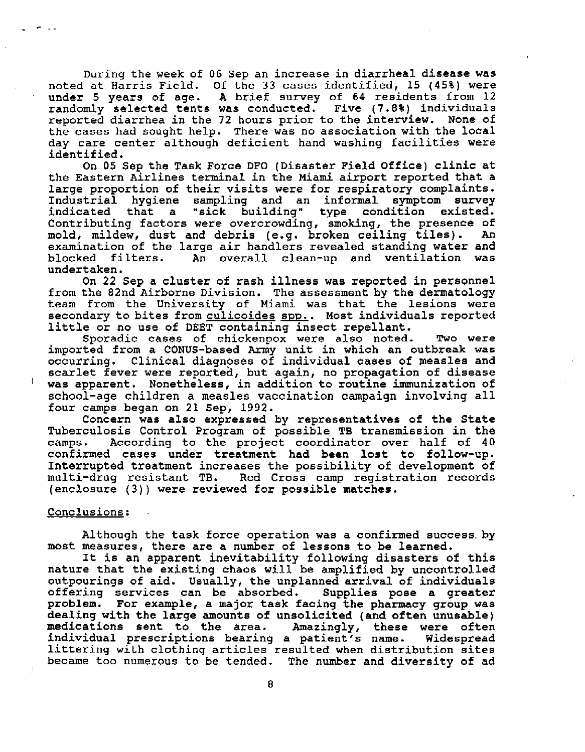During the week of 06 Sep an increase in diarrheal disease was noted at Harris Field, Of the 33 cases identified, 15 (45%) were under 5 years of age. **A** brief survey of 64 residents from **12**  randomly selected tents was conducted. Five (7.8%) individuals reported diarrhea in the 72 hours prior to the interview. None of the cases had sought help. There was no association with the local day care center although deficient hand washing facilities were identified.

On 05 Sep the Task Force DFO (Disaster Field Office) clinic at the Eastern Airlines terminal in the Miami airport reported that a large proportion of their visits were for respiratory complaints. Industrial hygiene sampling and an informal symptom survey indicated that a Contributing factors were overcrowding, smoking, the presence of mold, mildew, dust and debris (e.g. broken ceiling tiles). An examination of the large air handlers revealed standing water and blocked filters. **An** overall clean-up and ventilation was undertaken.

On 22 Sep a cluster of rash illness was reported in personnel from the 82nd Airborne Division. The assessment by the dermatology team from the University of Miami was that the lesions were from the 82nd Airborne Division. The assessment by the dermatology<br>team from the University of Miami was that the lesions were<br>secondary to bites from <u>culicoides spp.</u>. Most individuals reported<br>little or no use of DEET c little or no use of DEET containing insect repellant.

Sporadic cases of chickenpox were also noted. Two were imported from a CONUS-based **Army** unit in which an outbreak was occurring. Clinical diagnoses of individual cases of measles and scarlet fever were reported, but again, no propagation of disease was apparent. Nonetheless, in addition to routine immunization of school-age children a measles vaccination campaign involving all four camps began on 21 Sep, 1992.

Concern was also expressed by representatives of the State Tuberculosis Control Program of possible TB transmission in the camps. According to the project coordinator over half of 40 According to the project coordinator over half of 40 confirmed cases under treatment had, been lost to follow-up. Interrupted treatment increases the possibility of development of multi-drug resistant TB. Red Cross camp registration records (enclosure (3)) were reviewed for possible matches.

### Conclusions:

Although the task force operation was a confirmed success.by most measures, there are a number of lessons to be learned.

It **is** an apparent inevitability following disasters of this nature that the existing chaos will be amplified by uncontrolled outpourings of aid. Usually, the unplanned arrival **of** individuals offering services can be absorbed. problem. For example, a major task facing the pharmacy group was dealing with the large amounts of unsolicited (and often unusable)<br>medications sent to the area. Amazingly, these were often medications sent to the area. Amazingly, these were often individual prescriptions bearing a patient's name. Widespread littering with clothing articles resulted when distribution sites became too numerous to be tended. The number and diversity of ad